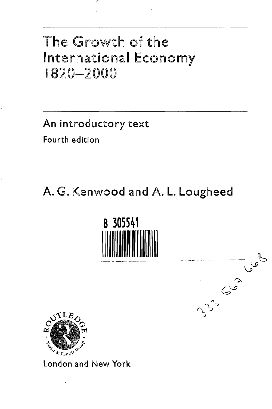## The Growth of the International Economy 1820-2000

An introductory text

Fourth edition

A. G. Kenwood and A. L. Lougheed





London and New York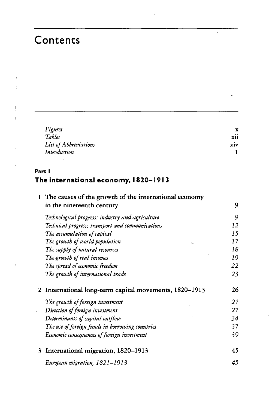## Contents

| Figures               | x   |
|-----------------------|-----|
| Tables                | xii |
| List of Abbreviations | xiv |
| Introduction          |     |

 $\bar{1}$ 

## **Parti** The international economy, 1820-1913

| 1 | The causes of the growth of the international economy |    |
|---|-------------------------------------------------------|----|
|   | in the nineteenth century                             | 9  |
|   | Technological progress: industry and agriculture      | 9  |
|   | Technical progress: transport and communications      | 12 |
|   | The accumulation of capital                           | 15 |
|   | The growth of world population                        | 17 |
|   | The supply of natural resources                       | 18 |
|   | The growth of real incomes                            | 19 |
|   | The spread of economic freedom                        | 22 |
|   | The growth of international trade                     | 23 |
| 2 | International long-term capital movements, 1820-1913  | 26 |
|   | The growth of foreign investment                      | 27 |
|   | Direction of foreign investment                       | 27 |
|   | Determinants of capital outflow                       | 34 |
|   | The use of foreign funds in borrowing countries       | 37 |
|   | Economic consequences of foreign investment           | 39 |
| 3 | International migration, 1820-1913                    | 45 |
|   | European migration, 1821–1913                         | 45 |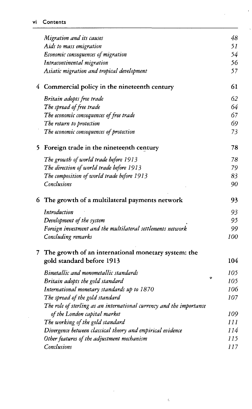|    | Migration and its causes                                                           | 48  |
|----|------------------------------------------------------------------------------------|-----|
|    | Aids to mass emigration                                                            | 51  |
|    | Economic consequences of migration                                                 | 54  |
|    | Intracontinental migration                                                         | 56  |
|    | Asiatic migration and tropical development                                         | 57  |
|    | 4 Commercial policy in the nineteenth century                                      | 61  |
|    | Britain adopts free trade                                                          | 62  |
|    | The spread of free trade                                                           | 64  |
|    | The economic consequences of free trade                                            | 67  |
|    | The return to protection                                                           | 69  |
|    | The economic consequences of protection                                            | 73  |
| 5. | Foreign trade in the nineteenth century                                            | 78  |
|    | The growth of world trade before 1913                                              | 78  |
|    | The direction of world trade before 1913                                           | 79  |
|    | The composition of world trade before 1913                                         | 83  |
|    | Conclusions                                                                        | 90  |
|    | 6 The growth of a multilateral payments network                                    | 93  |
|    |                                                                                    |     |
|    | Introduction                                                                       | 93  |
|    | Development of the system                                                          | 95  |
|    |                                                                                    | 99  |
|    | Foreign investment and the multilateral settlements network<br>Concluding remarks  | 100 |
|    |                                                                                    |     |
|    | 7 The growth of an international monetary system: the<br>gold standard before 1913 | 104 |
|    | Bimetallic and monometallic standards                                              | 105 |
|    | $\mathbf{z}$<br>Britain adopts the gold standard                                   | 105 |
|    | International monetary standards up to 1870                                        | 106 |
|    | The spread of the gold standard                                                    | 107 |
|    | The role of sterling as an international currency and the importance               |     |
|    | of the London capital market                                                       | 109 |
|    | The working of the gold standard                                                   | 111 |
|    | Divergence between classical theory and empirical evidence                         | 114 |
|    | Other features of the adjustment mechanism                                         | 115 |

 $\overline{\phantom{a}}$ 

 $\epsilon$ 

 $\hat{\boldsymbol{\epsilon}}$ 

J.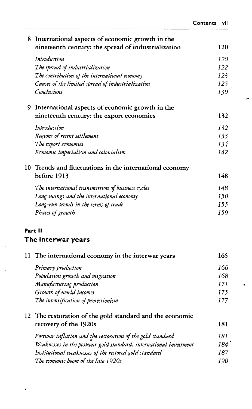| 8  | International aspects of economic growth in the                   |     |
|----|-------------------------------------------------------------------|-----|
|    | nineteenth century: the spread of industrialization               | 120 |
|    | Introduction                                                      | 120 |
|    | The spread of industrialization                                   | 122 |
|    | The contribution of the international economy                     | 123 |
|    | Causes of the limited spread of industrialization                 | 125 |
|    | Conclusions                                                       | 130 |
|    | 9 International aspects of economic growth in the                 |     |
|    | nineteenth century: the export economies                          | 132 |
|    | Introduction                                                      | 132 |
|    | Regions of recent settlement                                      | 133 |
|    | The export economies                                              | 134 |
|    | Economic imperialism and colonialism                              | 142 |
|    | 10 Trends and fluctuations in the international economy           |     |
|    | before 1913                                                       | 148 |
|    | The international transmission of business cycles                 | 148 |
|    | Long swings and the international economy                         | 150 |
|    | Long-run trends in the terms of trade                             | 155 |
|    | Phases of growth                                                  | 159 |
|    | Part II                                                           |     |
|    | The interwar years                                                |     |
| 11 | The international economy in the interwar years                   | 165 |
|    | Primary production                                                | 166 |
|    | Population growth and migration                                   | 168 |
|    | Manufacturing production                                          | 171 |
|    | Growth of world incomes                                           | 175 |
|    | The intensification of protectionism                              | 177 |
| 12 | The restoration of the gold standard and the economic             |     |
|    | recovery of the 1920s                                             | 181 |
|    | Postwar inflation and the restoration of the gold standard        | 181 |
|    | Weaknesses in the postwar gold standard: international investment | 184 |
|    | Institutional weaknesses of the restored gold standard            | 187 |
|    | The economic boom of the late 1920s                               | 190 |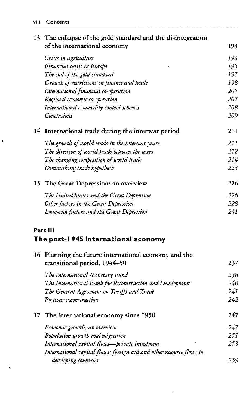## **viii Contents**

| 13  | The collapse of the gold standard and the disintegration             |     |
|-----|----------------------------------------------------------------------|-----|
|     | of the international economy                                         | 193 |
|     | Crisis in agriculture                                                | 193 |
|     | Financial crisis in Europe                                           | 195 |
|     | The end of the gold standard                                         | 197 |
|     | Growth of restrictions on finance and trade                          | 198 |
|     | International financial co-operation                                 | 205 |
|     | Regional economic co-operation                                       | 207 |
|     | International commodity control schemes                              | 208 |
|     | Conclusions                                                          | 209 |
|     | 14 International trade during the interwar period                    | 211 |
|     | The growth of world trade in the interwar years                      | 211 |
|     | The direction of world trade between the wars                        | 212 |
|     | The changing composition of world trade                              | 214 |
|     | Diminishing trade hypothesis                                         | 223 |
| 15. | The Great Depression: an overview                                    | 226 |
|     | The United States and the Great Depression                           | 226 |
|     | Other factors in the Great Depression                                | 228 |
|     | Long-run factors and the Great Depression                            | 231 |
|     | Part III                                                             |     |
|     | The post-1945 international economy                                  |     |
|     | 16 Planning the future international economy and the                 |     |
|     | transitional period, 1944-50                                         | 237 |
|     | The International Monetary Fund                                      | 238 |
|     | The International Bank for Reconstruction and Development            | 240 |
|     | The General Agreement on Tariffs and Trade                           | 241 |
|     | Postwar reconstruction                                               | 242 |
| 17  | The international economy since 1950                                 | 247 |
|     | Economic growth, an overview                                         | 247 |
|     | Population growth and migration                                      | 251 |
|     | International capital flows-private investment                       | 253 |
|     | International capital flows: foreign aid and other resource flows to |     |
|     | developing countries                                                 | 259 |

 $\mathbf{v}$ 

 $\gamma$ 

 $\bar{f}$